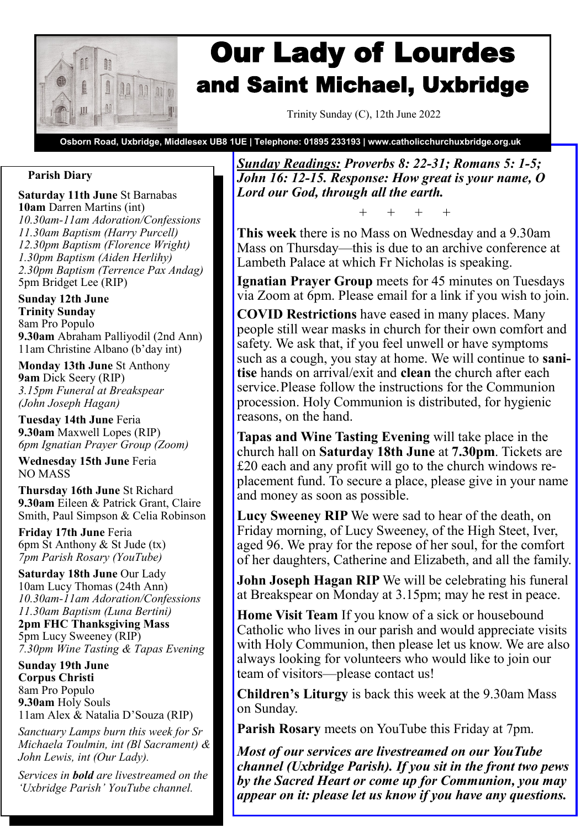

# Our Lady of Lourdes and Saint Michael, Uxbridge

Trinity Sunday (C), 12th June 2022

**Osborn Road, Uxbridge, Middlesex UB8 1UE | Telephone: 01895 233193 | www.catholicchurchuxbridge.org.uk**

## **Parish Diary**

**Saturday 11th June** St Barnabas **10am** Darren Martins (int) *10.30am-11am Adoration/Confessions 11.30am Baptism (Harry Purcell) 12.30pm Baptism (Florence Wright) 1.30pm Baptism (Aiden Herlihy) 2.30pm Baptism (Terrence Pax Andag)* 5pm Bridget Lee (RIP)

**Sunday 12th June Trinity Sunday** 8am Pro Populo **9.30am** Abraham Palliyodil (2nd Ann) 11am Christine Albano (b'day int)

**Monday 13th June** St Anthony **9am** Dick Seery (RIP) *3.15pm Funeral at Breakspear (John Joseph Hagan)*

**Tuesday 14th June** Feria **9.30am** Maxwell Lopes (RIP) *6pm Ignatian Prayer Group (Zoom)*

**Wednesday 15th June** Feria NO MASS

**Thursday 16th June** St Richard **9.30am** Eileen & Patrick Grant, Claire Smith, Paul Simpson & Celia Robinson

**Friday 17th June** Feria 6pm St Anthony & St Jude (tx) *7pm Parish Rosary (YouTube)*

**Saturday 18th June** Our Lady 10am Lucy Thomas (24th Ann) *10.30am-11am Adoration/Confessions 11.30am Baptism (Luna Bertini)* **2pm FHC Thanksgiving Mass** 5pm Lucy Sweeney (RIP) *7.30pm Wine Tasting & Tapas Evening*

**Sunday 19th June Corpus Christi** 8am Pro Populo **9.30am** Holy Souls 11am Alex & Natalia D'Souza (RIP)

*Sanctuary Lamps burn this week for Sr Michaela Toulmin, int (Bl Sacrament) & John Lewis, int (Our Lady).*

*Services in bold are livestreamed on the 'Uxbridge Parish' YouTube channel.*

*Sunday Readings: Proverbs 8: 22-31; Romans 5: 1-5; John 16: 12-15. Response: How great is your name, O Lord our God, through all the earth.*

+ + + +

**This week** there is no Mass on Wednesday and a 9.30am Mass on Thursday—this is due to an archive conference at Lambeth Palace at which Fr Nicholas is speaking.

**Ignatian Prayer Group** meets for 45 minutes on Tuesdays via Zoom at 6pm. Please email for a link if you wish to join.

**COVID Restrictions** have eased in many places. Many people still wear masks in church for their own comfort and safety. We ask that, if you feel unwell or have symptoms such as a cough, you stay at home. We will continue to **sanitise** hands on arrival/exit and **clean** the church after each service.Please follow the instructions for the Communion procession. Holy Communion is distributed, for hygienic reasons, on the hand.

**Tapas and Wine Tasting Evening** will take place in the church hall on **Saturday 18th June** at **7.30pm**. Tickets are £20 each and any profit will go to the church windows replacement fund. To secure a place, please give in your name and money as soon as possible.

**Lucy Sweeney RIP** We were sad to hear of the death, on Friday morning, of Lucy Sweeney, of the High Steet, Iver, aged 96. We pray for the repose of her soul, for the comfort of her daughters, Catherine and Elizabeth, and all the family.

**John Joseph Hagan RIP** We will be celebrating his funeral at Breakspear on Monday at 3.15pm; may he rest in peace.

**Home Visit Team** If you know of a sick or housebound Catholic who lives in our parish and would appreciate visits with Holy Communion, then please let us know. We are also always looking for volunteers who would like to join our team of visitors—please contact us!

**Children's Liturgy** is back this week at the 9.30am Mass on Sunday.

**Parish Rosary** meets on YouTube this Friday at 7pm.

*Most of our services are livestreamed on our YouTube channel (Uxbridge Parish). If you sit in the front two pews by the Sacred Heart or come up for Communion, you may appear on it: please let us know if you have any questions.*